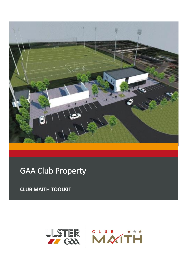

GAA Club Property

**CLUB MAITH TOOLKIT**

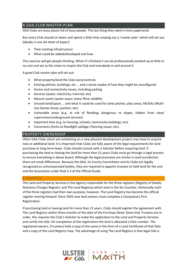# A GAA CLUB MASTER-PLAN

GAA Clubs are busy places full of busy people. The last thing they need is more paperwork.

But every Club should sit down and spend a little time scoping out a 'master-plan' which will set out (ideally in one A4 sheet of paper):

- Their existing infrastructure
- What could be added/developed and how

This exercise will get people thinking. When it's finished it can be professionally worked-up at little or no cost and act as the vision to inspire the Club and everybody in and around it.

A good Club master-plan will set out:

- What property/land the Club owns/controls
- Existing pitches; buildings; etc … and a sense maybe of how they might be reconfigured
- Access and connectivity issues, including parking
- Services (water; electricity; internet; etc)
- Natural assets (water-ways; trees/ flora; wildlife)
- Unused land/space … and what it could be used for (new pitches; play areas; MUGAs (Multi-Use Games Area); pavilion; etc)
- Vulnerable areas (e.g. at risk of flooding; dangerous re slopes; hidden from view/ supervision/underground services)
- Important links (e.g. to housing; schools; community buildings; etc).
- Constraints (limits to floodlight spillage; Planning issues; etc).

### PROPERTY OWNERSHIP

Often GAA Clubs which are embarking on a new physical development project may have to acquire new or additional land. It is important that Clubs are fully aware of the legal requirements for land purchase or long-term lease. Clubs should consult with a Solicitor before acquiring land. If purchasing the land or leasing the land for more than 21 years Clubs must go through a legal process to ensure everything is above-board. Although the legal processes are similar in each jurisdiction, there are small differences. Because the GAA, its County Committees and its Clubs are legally recognised as unincorporated bodies, they are required to appoint trustees to hold land for the unit and the Association under Rule 5.3 of the Official Guide.

### 6 COUNTIES

The Land and Property Services is the Agency responsible for the three registers (Registry of Deeds; Statutory Charges Register; and The Land Registry) which exist in the Six Counties. Historically each of the three registers had their own purpose, however, The Land Registry has become the official register moving forward. Since 2003 new land owners must complete a Compulsory First Registration.

If purchasing land or leasing land for more than 21 years, Clubs should register the agreement with The Land Registry within three months of the date of the Purchase Deed. Given that Trustees are in order, this requires the Club's Solicitor to make the application to the Land and Property Services and certify the title. On completion of the registration the land is allocated a folio number. The registered owners, (Trustees) hold a copy of the same in the form of a Land Certificate of that folio and a copy of the Land Registry map. The advantage of using The Land Registry is that legal title is



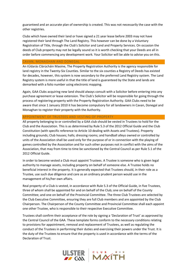guaranteed and an accurate plan of ownership is created. This was not necessarily the case with the other registries.

Clubs which have owned their land or have signed a 21 year lease before 2003 may not have registered their land through The Land Registry. This however can be done by a Voluntary Registration of Title, through the Club's Solicitor and Land and Property Services. On occasion the deeds of Club property may not be legally sound so it is worth checking that your Deeds are all in order before commencing any development work. Your Solicitor will be able to advise you on this.

#### CAVAN, MONAGHAN AND DONEGAL

An tÚdarás Clárúcháin Maoine, The Property Registration Authority is the agency responsible for land registry in the Twenty-Six Counties. Similar to the six counties a Registry of Deeds has existed for decades, however, this system is now secondary to the preferred Land Registry system. The Land Registry system is more useful in that the title of land is guaranteed by the State and lands are demarked with a folio number using electronic mapping.

Again, GAA Clubs acquiring new land should always consult with a Solicitor before entering into any purchase agreement or lease extension. The Club's Solicitor will be responsible for going through the process of registering property with the Property Registration Authority. GAA Clubs need to be aware that since 1 January 2010 it has become compulsory for all landowners in Cavan, Donegal and Monaghan to register their property with the Authority.

#### APPOINTMENT OF TRUSTEES AND VESTING OF PROPERTY

All property belonging to or controlled by a GAA club should be vested in Trustees to hold for the Club and the Association. This is as determined by Rule 5.3 of the 2012 Official Guide and the Club Constitution (with specific reference to Article 10 dealing with Assets and Trustees). Property including grounds; Club houses; halls; dressing rooms; and handball alleys owned or controlled by units of the Association shall be used only for the purpose of or in connection with the playing of games controlled by the Association and for such other purposes not in conflict with the aims of the Association, that may from time to time be sanctioned by the Central Council as per Rule 5.1 of the 2012 Official Guide.

In order to become vested a Club must appoint Trustees. A Trustee is someone who is given legal authority to manage assets, including property on behalf of someone else. A Trustee holds no beneficial interest in the property. It is generally expected that Trustees should, in their role as a Trustee, use such due diligence and care as an ordinary prudent person would use in the management of his/her own affairs.

Real property of a Club is vested, in accordance with Rule 5.3 of the Official Guide, in five Trustees, three of whom shall be appointed for and on behalf of the Club; one on behalf of the County Committee; and one on behalf of the Provincial Committee. The three Club Trustees are selected by the Club Executive Committee, ensuring they are full Club members and are appointed by the Club Chairperson. The Chairperson of the County Committee and Provincial Committee shall each appoint one other Trustee, who is responsible to their respective Executive Committee.

Trustees shall confirm their acceptance of the role by signing a 'Declaration of Trust' as approved by the Central Council of the GAA. These template forms conform to the necessary conditions relating to provisions for appointment, removal and replacement of Trustees, as well as regulating the conduct of the Trustees in performing their duties and exercising their powers under the Trust. It is the duty of the Trustees to ensure that the property is used in accordance with the terms of the Declaration of Trust.

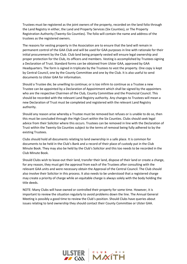Trustees must be registered as the joint owners of the property, recorded on the land folio through the Land Registry in either, the Land and Property Services (Six Counties), or The Property Registration Authority (Twenty-Six Counties). The folio will contain the name and address of the trustees as the registered owners.

The reasons for vesting property in the Association are to ensure that the land will remain in permanent control of the GAA Club and will be used for GAA purposes in line with rationale for their initial procurement by the Club. Club land being properly vested will ensure legal ownership and proper protection for the Club, its officers and members. Vesting is accomplished by Trustees signing a Declaration of Trust. Standard forms can be obtained from Ulster GAA, approved by GAA Headquarters. The form is signed in triplicate by the Trustees to vest the property. One copy is kept by Central Council, one by the County Committee and one by the Club. It is also useful to send documents to Ulster GAA for information.

Should a Trustee die; be unwilling to continue; or is too infirm to continue as a Trustee a new Trustee can be appointed by a Declaration of Appointment which shall be signed by the appointers who are the respective Chairmen of the Club, County Committee and the Provincial Council. This should be recorded with the relevant Land Registry authority. Any changes to Trustees will mean a new Declaration of Trust must be completed and registered with the relevant Land Registry authority.

Should any reason arise whereby a Trustee must be removed but refuses or is unable to do so, then this must be concluded through the High Court within the Six Counties. Clubs should seek legal advice from their Solicitor where this occurs. Trustees can be removed in line with the Declaration of Trust within the Twenty-Six Counties subject to the terms of removal being fully adhered to by the existing Trustees.

Clubs should hold all documents relating to land ownership in a safe place. It is common for documents to be held in the Club's Bank and a record of their place of custody put in the Club Minute Book. They may also be held by the Club's Solicitor and this too needs to be recorded in the Club Minute Book.

Should Clubs wish to lease-out their land, transfer their land, dispose of their land or create a charge, for any reason, they must get the approval from each of the Trustees after consulting with the relevant GAA units and were necessary obtain the Approval of the Central Council. The Club should also involve their Solicitor in this process. It also needs to be understood that a registered charge may create a priority of charge while an equitable charge is always solely with the body holding the title deeds.

NOTE: Many Clubs will have owned or controlled their property for some time. However, it is important to review the situation regularly to avoid problems down the line. The Annual General Meeting is possibly a good time to review the Club's position. Should Clubs have queries about issues relating to land ownership they should contact their County Committee or Ulster GAA.